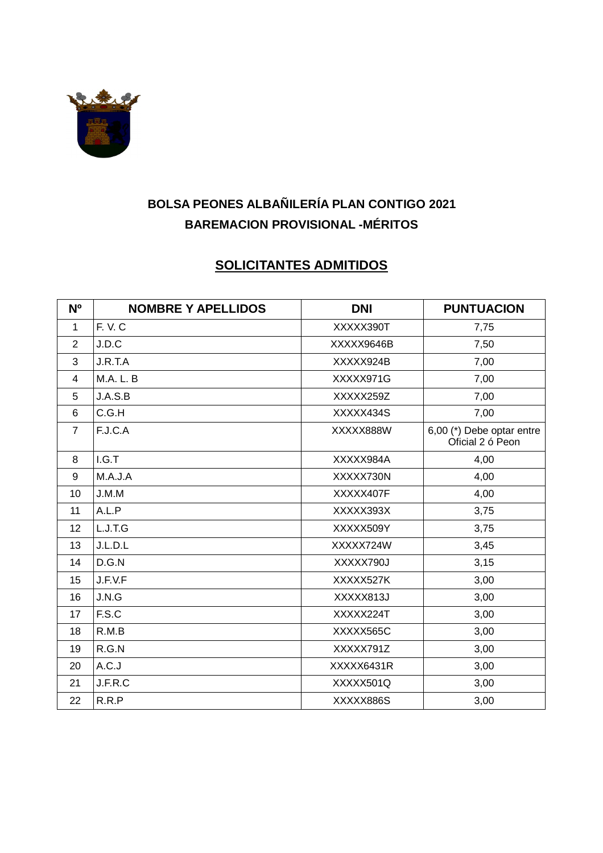

# **BOLSA PEONES ALBAÑILERÍA PLAN CONTIGO 2021 BAREMACION PROVISIONAL -MÉRITOS**

### **SOLICITANTES ADMITIDOS**

| N <sub>o</sub> | <b>NOMBRE Y APELLIDOS</b> | <b>DNI</b> | <b>PUNTUACION</b>                             |
|----------------|---------------------------|------------|-----------------------------------------------|
| 1              | F.V.C                     | XXXXX390T  | 7,75                                          |
| 2              | J.D.C                     | XXXXX9646B | 7,50                                          |
| 3              | J.R.T.A                   | XXXXX924B  | 7,00                                          |
| 4              | <b>M.A. L. B</b>          | XXXXX971G  | 7,00                                          |
| 5              | J.A.S.B                   | XXXXX259Z  | 7,00                                          |
| 6              | C.G.H                     | XXXXX434S  | 7,00                                          |
| $\overline{7}$ | F.J.C.A                   | XXXXX888W  | 6,00 (*) Debe optar entre<br>Oficial 2 ó Peon |
| 8              | I.G.T                     | XXXXX984A  | 4,00                                          |
| 9              | M.A.J.A                   | XXXXX730N  | 4,00                                          |
| 10             | J.M.M                     | XXXXX407F  | 4,00                                          |
| 11             | A.L.P                     | XXXXX393X  | 3,75                                          |
| 12             | L.J.T.G                   | XXXXX509Y  | 3,75                                          |
| 13             | J.L.D.L                   | XXXXX724W  | 3,45                                          |
| 14             | D.G.N                     | XXXXX790J  | 3,15                                          |
| 15             | J.F.V.F                   | XXXXX527K  | 3,00                                          |
| 16             | J.N.G                     | XXXXX813J  | 3,00                                          |
| 17             | F.S.C                     | XXXXX224T  | 3,00                                          |
| 18             | R.M.B                     | XXXXX565C  | 3,00                                          |
| 19             | R.G.N                     | XXXXX791Z  | 3,00                                          |
| 20             | A.C.J                     | XXXXX6431R | 3,00                                          |
| 21             | J.F.R.C                   | XXXXX501Q  | 3,00                                          |
| 22             | R.R.P                     | XXXXX886S  | 3,00                                          |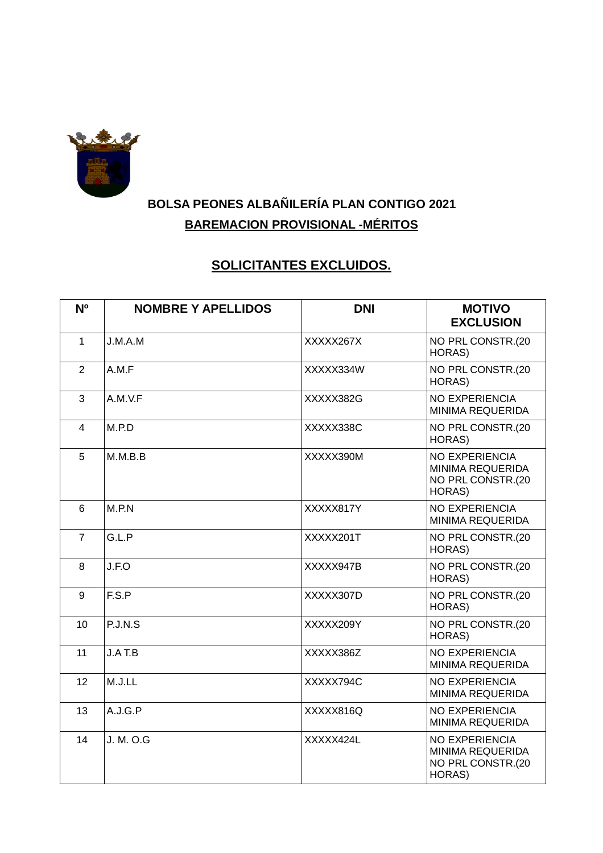

# **BOLSA PEONES ALBAÑILERÍA PLAN CONTIGO 2021 BAREMACION PROVISIONAL -MÉRITOS**

# **SOLICITANTES EXCLUIDOS.**

| N <sup>o</sup> | <b>NOMBRE Y APELLIDOS</b> | <b>DNI</b> | <b>MOTIVO</b><br><b>EXCLUSION</b>                                               |
|----------------|---------------------------|------------|---------------------------------------------------------------------------------|
| $\mathbf{1}$   | J.M.A.M                   | XXXXX267X  | NO PRL CONSTR.(20<br>HORAS)                                                     |
| $\overline{2}$ | A.M.F                     | XXXXX334W  | NO PRL CONSTR.(20<br>HORAS)                                                     |
| 3              | A.M.V.F                   | XXXXX382G  | <b>NO EXPERIENCIA</b><br>MINIMA REQUERIDA                                       |
| $\overline{4}$ | M.P.D                     | XXXXX338C  | NO PRL CONSTR.(20<br>HORAS)                                                     |
| 5              | M.M.B.B                   | XXXXX390M  | <b>NO EXPERIENCIA</b><br><b>MINIMA REQUERIDA</b><br>NO PRL CONSTR.(20<br>HORAS) |
| $6\phantom{1}$ | M.P.N                     | XXXXX817Y  | <b>NO EXPERIENCIA</b><br><b>MINIMA REQUERIDA</b>                                |
| $\overline{7}$ | G.L.P                     | XXXXX201T  | NO PRL CONSTR.(20<br>HORAS)                                                     |
| 8              | J.F.O                     | XXXXX947B  | NO PRL CONSTR.(20<br>HORAS)                                                     |
| 9              | F.S.P                     | XXXXX307D  | NO PRL CONSTR.(20<br>HORAS)                                                     |
| 10             | P.J.N.S                   | XXXXX209Y  | NO PRL CONSTR.(20<br>HORAS)                                                     |
| 11             | J.AT.B                    | XXXXX386Z  | <b>NO EXPERIENCIA</b><br><b>MINIMA REQUERIDA</b>                                |
| 12             | M.J.LL                    | XXXXX794C  | <b>NO EXPERIENCIA</b><br>MINIMA REQUERIDA                                       |
| 13             | A.J.G.P                   | XXXXX816Q  | <b>NO EXPERIENCIA</b><br><b>MINIMA REQUERIDA</b>                                |
| 14             | J. M. O.G                 | XXXXX424L  | <b>NO EXPERIENCIA</b><br>MINIMA REQUERIDA<br>NO PRL CONSTR.(20<br>HORAS)        |